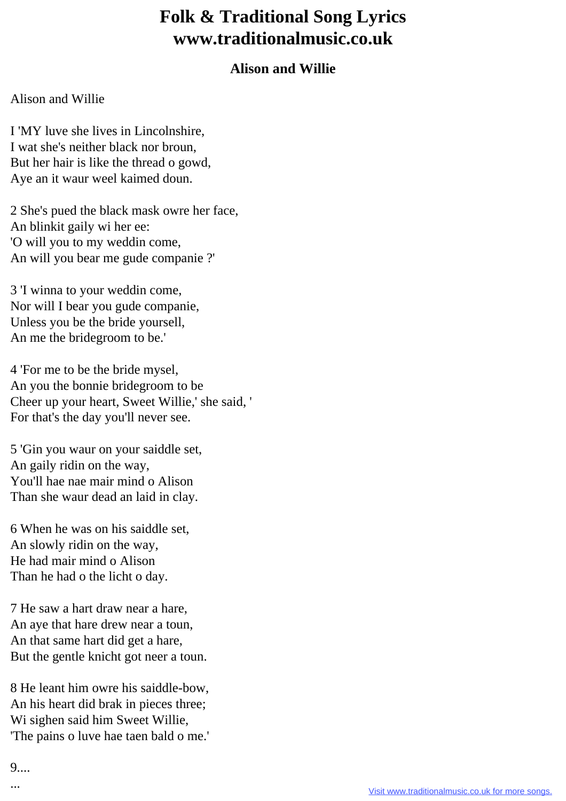## **Folk & Traditional Song Lyrics www.traditionalmusic.co.uk**

## **Alison and Willie**

## Alison and Willie

I 'MY luve she lives in Lincolnshire, I wat she's neither black nor broun, But her hair is like the thread o gowd, Aye an it waur weel kaimed doun.

2 She's pued the black mask owre her face, An blinkit gaily wi her ee: 'O will you to my weddin come, An will you bear me gude companie ?'

3 'I winna to your weddin come, Nor will I bear you gude companie, Unless you be the bride yoursell, An me the bridegroom to be.'

4 'For me to be the bride mysel, An you the bonnie bridegroom to be Cheer up your heart, Sweet Willie,' she said, ' For that's the day you'll never see.

5 'Gin you waur on your saiddle set, An gaily ridin on the way, You'll hae nae mair mind o Alison Than she waur dead an laid in clay.

6 When he was on his saiddle set, An slowly ridin on the way, He had mair mind o Alison Than he had o the licht o day.

7 He saw a hart draw near a hare, An aye that hare drew near a toun, An that same hart did get a hare, But the gentle knicht got neer a toun.

8 He leant him owre his saiddle-bow, An his heart did brak in pieces three; Wi sighen said him Sweet Willie, 'The pains o luve hae taen bald o me.'

9....